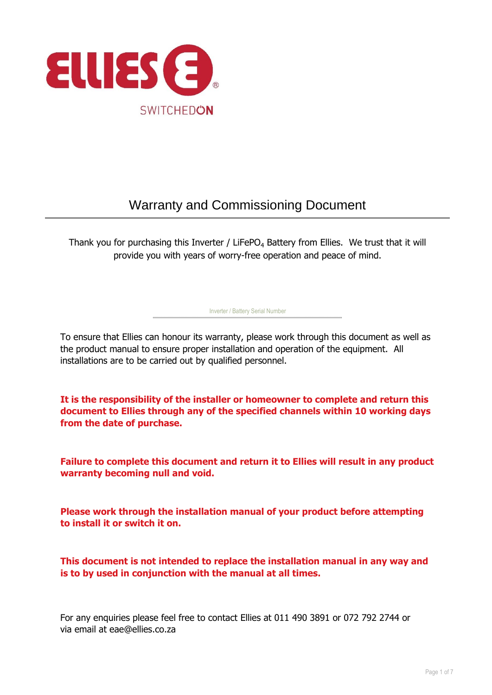

# Warranty and Commissioning Document

Thank you for purchasing this Inverter / LiFePO<sub>4</sub> Battery from Ellies. We trust that it will provide you with years of worry-free operation and peace of mind.

To ensure that Ellies can honour its warranty, please work through this document as well as the product manual to ensure proper installation and operation of the equipment. All installations are to be carried out by qualified personnel.

Inverter / Battery Serial Number

**It is the responsibility of the installer or homeowner to complete and return this document to Ellies through any of the specified channels within 10 working days from the date of purchase.**

**Failure to complete this document and return it to Ellies will result in any product warranty becoming null and void.**

**Please work through the installation manual of your product before attempting to install it or switch it on.**

**This document is not intended to replace the installation manual in any way and is to by used in conjunction with the manual at all times.**

For any enquiries please feel free to contact Ellies at 011 490 3891 or 072 792 2744 or via email at eae@ellies.co.za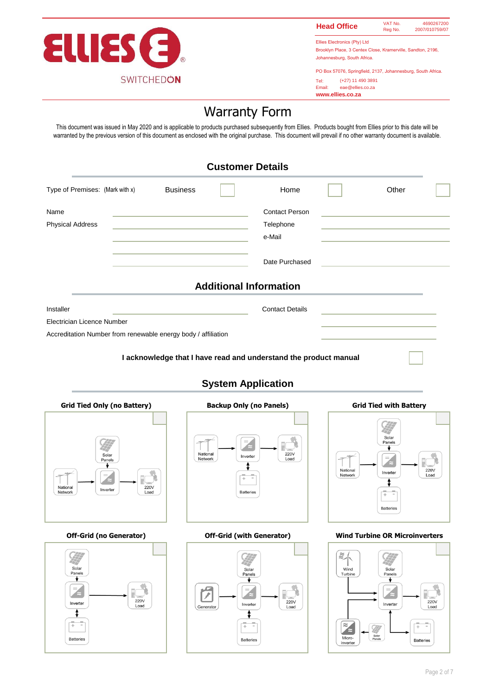

4690267200 2007/010759/07 **Head Office** WAT No.

Ellies Electronics (Pty) Ltd Brooklyn Place, 3 Centex Close, Kramerville, Sandton, 2196, Johannesburg, South Africa.

PO Box 57076, Springfield, 2137, Johannesburg, South Africa. (+27) 11 490 3891

Tel:<br>Email: eae@ellies.co.za **www.ellies.co.za**

 $\tilde{z}$ 

Wind

Turbi

 $\approx$ 

Micro

Solar

₩

c

Inverter

# Warranty Form

This document was issued in May 2020 and is applicable to products purchased subsequently from Ellies. Products bought from Ellies prior to this date will be warranted by the previous version of this document as enclosed with the original purchase. This document will prevail if no other warranty document is available.

|                                                               |                 | <b>Customer Details</b>                                          |       |  |
|---------------------------------------------------------------|-----------------|------------------------------------------------------------------|-------|--|
| Type of Premises: (Mark with x)                               | <b>Business</b> | Home                                                             | Other |  |
| Name                                                          |                 | <b>Contact Person</b>                                            |       |  |
| <b>Physical Address</b>                                       |                 | Telephone                                                        |       |  |
|                                                               |                 | e-Mail                                                           |       |  |
|                                                               |                 | Date Purchased                                                   |       |  |
|                                                               |                 | <b>Additional Information</b>                                    |       |  |
| Installer                                                     |                 | <b>Contact Details</b>                                           |       |  |
| Electrician Licence Number                                    |                 |                                                                  |       |  |
| Accreditation Number from renewable energy body / affiliation |                 |                                                                  |       |  |
|                                                               |                 | I acknowledge that I have read and understand the product manual |       |  |

# **System Application**







ì.

**220V** 

٦

Ξ

**Batteries**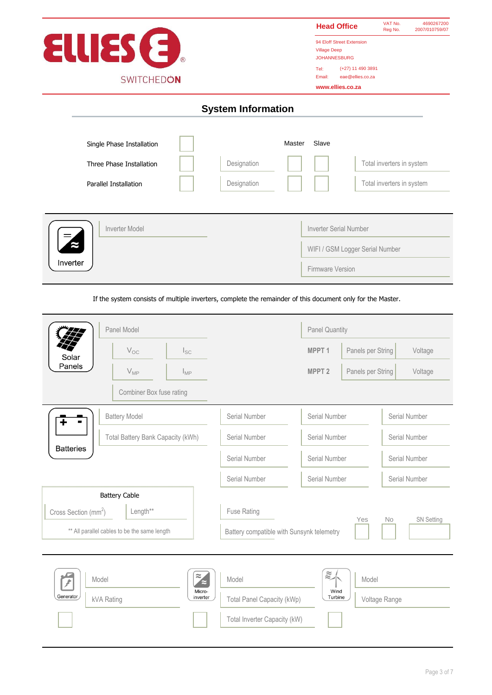

# **System Information**

| Single Phase Installation |             | Master | Slave                  |                                 |
|---------------------------|-------------|--------|------------------------|---------------------------------|
| Three Phase Installation  | Designation |        |                        | Total inverters in system       |
| Parallel Installation     | Designation |        |                        | Total inverters in system       |
|                           |             |        |                        |                                 |
| Inverter Model            |             |        | Inverter Serial Number |                                 |
|                           |             |        |                        | WIFI / GSM Logger Serial Number |
| Inverter                  |             |        | Firmware Version       |                                 |

If the system consists of multiple inverters, complete the remainder of this document only for the Master.

|                                              | Panel Model                       |                                          |                                           | <b>Panel Quantity</b>                    |                   |                   |
|----------------------------------------------|-----------------------------------|------------------------------------------|-------------------------------------------|------------------------------------------|-------------------|-------------------|
| Solar                                        | $V_{OC}$                          | $I_{SC}$                                 |                                           | MPPT <sub>1</sub>                        | Panels per String | Voltage           |
| Panels                                       | $V_{MP}$                          | $I_{\text{MP}}$                          |                                           | MPPT <sub>2</sub>                        | Panels per String | Voltage           |
|                                              | Combiner Box fuse rating          |                                          |                                           |                                          |                   |                   |
|                                              | <b>Battery Model</b>              |                                          | Serial Number                             | Serial Number                            |                   | Serial Number     |
|                                              | Total Battery Bank Capacity (kWh) |                                          | Serial Number                             | Serial Number                            |                   | Serial Number     |
| <b>Batteries</b>                             |                                   |                                          | Serial Number                             | Serial Number                            |                   | Serial Number     |
|                                              |                                   |                                          | Serial Number                             | Serial Number                            |                   | Serial Number     |
| <b>Battery Cable</b>                         |                                   |                                          |                                           |                                          |                   |                   |
| Cross Section (mm <sup>2</sup> )             | Length**                          |                                          | Fuse Rating                               |                                          | Yes               | <b>No</b>         |
| ** All parallel cables to be the same length |                                   |                                          | Battery compatible with Sunsynk telemetry |                                          |                   | <b>SN Setting</b> |
| Model<br>₽<br>Generator<br>kVA Rating        |                                   | $\ddot{\tilde{z}}$<br>Micro-<br>inverter | Model<br>Total Panel Capacity (kWp)       | $\widetilde{\approx}$<br>Wind<br>Turbine | Model             | Voltage Range     |
|                                              |                                   |                                          | Total Inverter Capacity (kW)              |                                          |                   |                   |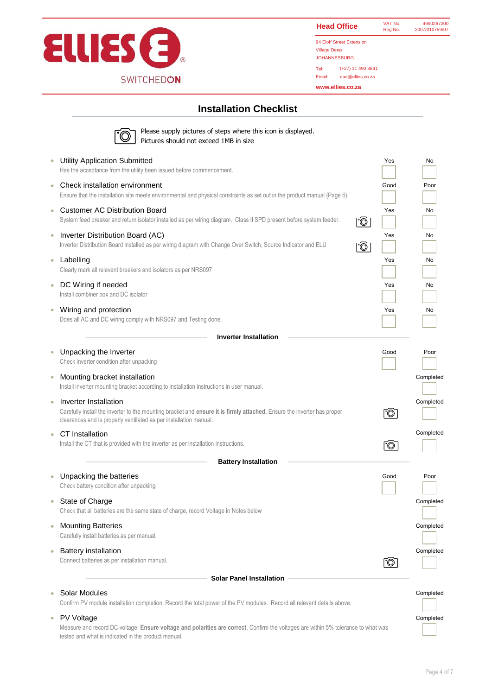

| <b>Head Office</b>        | VAT No.<br>Reg No. | 4690267200<br>2007/010759/07 |  |  |
|---------------------------|--------------------|------------------------------|--|--|
| 94 Eloff Street Extension |                    |                              |  |  |
| <b>Village Deep</b>       |                    |                              |  |  |
| <b>JOHANNESBURG</b>       |                    |                              |  |  |

Tel: (+27) 11 490 3891

Email: eae@ellies.co.za

**www.ellies.co.za**

## **Installation Checklist**

|            | Please supply pictures of steps where this icon is displayed.<br>Pictures should not exceed 1MB in size                                                                                                               |          |           |
|------------|-----------------------------------------------------------------------------------------------------------------------------------------------------------------------------------------------------------------------|----------|-----------|
|            | <b>Utility Application Submitted</b><br>Has the acceptance from the utility been issued before commencement.                                                                                                          | Yes      | No        |
|            | Check installation environment<br>Ensure that the installation site meets environmental and physical constraints as set out in the product manual (Page 6)                                                            | Good     | Poor      |
| ۰          | <b>Customer AC Distribution Board</b><br>System feed breaker and return isolator installed as per wiring diagram. Class II SPD present before system feeder.                                                          | Yes<br>Ō | No        |
| $\bigcirc$ | Inverter Distribution Board (AC)<br>Inverter Distribution Board installed as per wiring diagram with Change Over Switch, Source Indicator and ELU                                                                     | Yes<br>Ō | No        |
| $\bigcirc$ | Labelling<br>Clearly mark all relevant breakers and isolators as per NRS097                                                                                                                                           | Yes      | No        |
| $\bigcirc$ | DC Wiring if needed<br>Install combiner box and DC isolator                                                                                                                                                           | Yes      | No        |
| $\bullet$  | Wiring and protection<br>Does all AC and DC wiring comply with NRS097 and Testing done.                                                                                                                               | Yes      | No        |
|            | <b>Inverter Installation</b>                                                                                                                                                                                          |          |           |
| $\circ$    | Unpacking the Inverter<br>Check inverter condition after unpacking                                                                                                                                                    | Good     | Poor      |
| ۰          | Mounting bracket installation<br>Install inverter mounting bracket according to installation instructions in user manual.                                                                                             |          | Completed |
| ٠          | Inverter Installation<br>Carefully install the inverter to the mounting bracket and ensure it is firmly attached. Ensure the inverter has proper<br>clearances and is properly ventilated as per installation manual. | Ō        | Completed |
| ۰          | CT Installation<br>Install the CT that is provided with the inverter as per installation instructions.                                                                                                                | Ō        | Completed |
|            | <b>Battery Installation</b>                                                                                                                                                                                           |          |           |
|            | Unpacking the batteries<br>Check battery condition after unpacking                                                                                                                                                    | Good     | Poor      |
|            | State of Charge<br>Check that all batteries are the same state of charge, record Voltage in Notes below                                                                                                               |          | Completed |
| $\circ$    | <b>Mounting Batteries</b><br>Carefully install batteries as per manual.                                                                                                                                               |          | Completed |
| $\bigcirc$ | <b>Battery installation</b><br>Connect batteries as per installation manual.                                                                                                                                          | °C       | Completed |
|            | <b>Solar Panel Installation</b>                                                                                                                                                                                       |          |           |
|            | Solar Modules                                                                                                                                                                                                         |          | Completed |
|            | Confirm PV module installation completion. Record the total power of the PV modules. Record all relevant details above.                                                                                               |          |           |
|            | PV Voltage                                                                                                                                                                                                            |          | Completed |

Measure and record DC voltage. **Ensure voltage and polarities are correct**. Confirm the voltages are within 5% tolerance to what was tested and what is indicated in the product manual.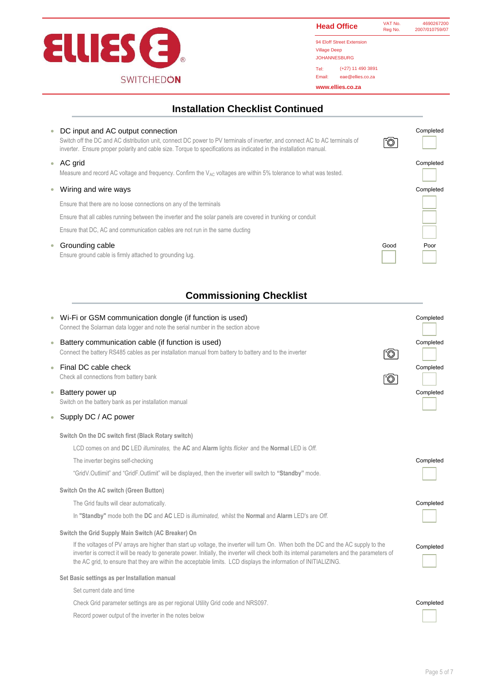

Tel: Email: eae@ellies.co.za **Head Office** 94 Eloff Street Extension Village Deep VAT No. 4690267200<br>Reg No. 2007/010759/07 Reg No. 2007/010759/07 **www.ellies.co.za** JOHANNESBURG (+27) 11 490 3891

## **Installation Checklist Continued**

| ۰          | DC input and AC output connection<br>Switch off the DC and AC distribution unit, connect DC power to PV terminals of inverter, and connect AC to AC terminals of<br>inverter. Ensure proper polarity and cable size. Torque to specifications as indicated in the installation manual. | *©   | Completed |
|------------|----------------------------------------------------------------------------------------------------------------------------------------------------------------------------------------------------------------------------------------------------------------------------------------|------|-----------|
| $\bigcirc$ | AC grid<br>Measure and record AC voltage and frequency. Confirm the $V_{AC}$ voltages are within 5% tolerance to what was tested.                                                                                                                                                      |      | Completed |
|            | Wiring and wire ways                                                                                                                                                                                                                                                                   |      | Completed |
|            | Ensure that there are no loose connections on any of the terminals                                                                                                                                                                                                                     |      |           |
|            | Ensure that all cables running between the inverter and the solar panels are covered in trunking or conduit                                                                                                                                                                            |      |           |
|            | Ensure that DC, AC and communication cables are not run in the same ducting                                                                                                                                                                                                            |      |           |
| $\bullet$  | Grounding cable<br>Ensure ground cable is firmly attached to grounding lug.                                                                                                                                                                                                            | Good | Poor      |

# **Commissioning Checklist**

| $\bullet$<br>$\bullet$<br>$\bullet$<br>$\bullet$ | Wi-Fi or GSM communication dongle (if function is used)<br>Connect the Solarman data logger and note the serial number in the section above<br>Battery communication cable (if function is used)<br>Connect the battery RS485 cables as per installation manual from battery to battery and to the inverter<br>Ō<br>Final DC cable check<br>Check all connections from battery bank<br>Ō<br>Battery power up                                                                                                                                 | Completed<br>Completed<br>Completed<br>Completed |
|--------------------------------------------------|----------------------------------------------------------------------------------------------------------------------------------------------------------------------------------------------------------------------------------------------------------------------------------------------------------------------------------------------------------------------------------------------------------------------------------------------------------------------------------------------------------------------------------------------|--------------------------------------------------|
|                                                  | Switch on the battery bank as per installation manual                                                                                                                                                                                                                                                                                                                                                                                                                                                                                        |                                                  |
| $\bullet$                                        | Supply DC / AC power                                                                                                                                                                                                                                                                                                                                                                                                                                                                                                                         |                                                  |
|                                                  | Switch On the DC switch first (Black Rotary switch)<br>LCD comes on and DC LED illuminates, the AC and Alarm lights flicker and the Normal LED is Off.<br>The inverter begins self-checking<br>"GridV.Outlimit" and "GridF.Outlimit" will be displayed, then the inverter will switch to "Standby" mode.<br>Switch On the AC switch (Green Button)<br>The Grid faults will clear automatically.<br>In "Standby" mode both the DC and AC LED is <i>illuminated</i> , whilst the Normal and Alarm LED's are Off.                               | Completed<br>Completed                           |
|                                                  | Switch the Grid Supply Main Switch (AC Breaker) On<br>If the voltages of PV arrays are higher than start up voltage, the inverter will turn On. When both the DC and the AC supply to the<br>inverter is correct it will be ready to generate power. Initially, the inverter will check both its internal parameters and the parameters of<br>the AC grid, to ensure that they are within the acceptable limits. LCD displays the information of INITIALIZING.<br>Set Basic settings as per Installation manual<br>Set current date and time | Completed                                        |
|                                                  | Check Grid parameter settings are as per regional Utility Grid code and NRS097.<br>Record power output of the inverter in the notes below                                                                                                                                                                                                                                                                                                                                                                                                    | Completed                                        |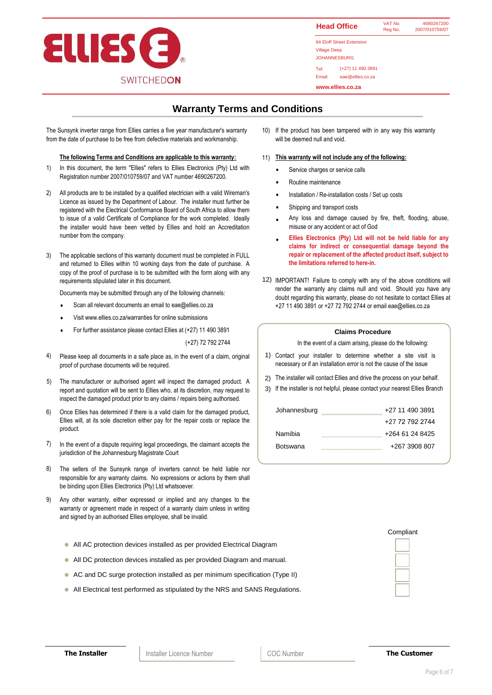

#### Tel: Email: eae@ellies.co.za 94 Eloff Street Extension Village Deep JOHANNESBURG (+27) 11 490 3891 **www.ellies.co.za Head Office VAT No.** 4690267200 Reg No. 2007/010759/07

# **Warranty Terms and Conditions**

The Sunsynk inverter range from Ellies carries a five year manufacturer's warranty from the date of purchase to be free from defective materials and workmanship.

#### **The following Terms and Conditions are applicable to this warranty:**

- 1) In this document, the term "Ellies" refers to Ellies Electronics (Pty) Ltd with <br>Resistantial consults 2007/040750/07 and 1/4 Teamles 4000007000 Registration number 2007/010759/07 and VAT number 4690267200.
- 2) All products are to be installed by a qualified electrician with a valid Wireman's Licence as issued by the Department of Labour. The installer must further be registered with the Electrical Conformance Board of South Africa to allow them to issue of a valid Certificate of Compliance for the work completed. Ideally the installer would have been vetted by Ellies and hold an Accreditation number from the company.
- 3) The applicable sections of this warranty document must be completed in FULL and returned to Ellies within 10 working days from the date of purchase. A copy of the proof of purchase is to be submitted with the form along with any requirements stipulated later in this document.

Documents may be submitted through any of the following channels:

- Scan all relevant documents an email to eae@ellies.co.za
- Visit www.ellies.co.za/warranties for online submissions
- For further assistance please contact Ellies at (+27) 11 490 3891

(+27) 72 792 2744

- 4) Please keep all documents in a safe place as, in the event of a claim, original  $\begin{vmatrix} 1 \end{vmatrix}$ proof of purchase documents will be required.
- 5) The manufacturer or authorised agent will inspect the damaged product. A  $\vert$  2) report and quotation will be sent to Ellies who, at its discretion, may request to inspect the damaged product prior to any claims / repairs being authorised.
- Once Ellies has determined if there is a valid claim for the damaged product, Ellies will, at its sole discretion either pay for the repair costs or replace the product. 6)
- 7) In the event of a dispute requiring legal proceedings, the claimant accepts the jurisdiction of the Johannesburg Magistrate Court
- 8) The sellers of the Sunsynk range of inverters cannot be held liable nor responsible for any warranty claims. No expressions or actions by them shall be binding upon Ellies Electronics (Pty) Ltd whatsoever.
- 9) Any other warranty, either expressed or implied and any changes to the warranty or agreement made in respect of a warranty claim unless in writing and signed by an authorised Ellies employee, shall be invalid.
	- All AC protection devices installed as per provided Electrical Diagram
	- All DC protection devices installed as per provided Diagram and manual.
	- AC and DC surge protection installed as per minimum specification (Type II)
	- All Electrical test performed as stipulated by the NRS and SANS Regulations.

10) If the product has been tampered with in any way this warranty will be deemed null and void.

#### 11) **This warranty will not include any of the following:**

- Service charges or service calls
- Routine maintenance
- Installation / Re-installation costs / Set up costs
- Shipping and transport costs
- Any loss and damage caused by fire, theft, flooding, abuse, misuse or any accident or act of God
- **Ellies Electronics (Pty) Ltd will not be held liable for any claims for indirect or consequential damage beyond the repair or replacement of the affected product itself, subject to the limitations referred to here-in.**
- 12) IMPORTANT! Failure to comply with any of the above conditions will render the warranty any claims null and void. Should you have any doubt regarding this warranty, please do not hesitate to contact Ellies at +27 11 490 3891 or +27 72 792 2744 or email eae@ellies.co.za

### **Claims Procedure**

In the event of a claim arising, please do the following:

- Contact your installer to determine whether a site visit is necessary or if an installation error is not the cause of the issue
- 2) The installer will contact Ellies and drive the process on your behalf.
- 3) If the installer is not helpful, please contact your nearest Ellies Branch

| Johannesburg | +27 11 490 3891 |
|--------------|-----------------|
|              | +27 72 792 2744 |
| Namibia      | +264 61 24 8425 |
| Botswana     | +267 3908 807   |

| Compliant |  |  |  |  |
|-----------|--|--|--|--|
|           |  |  |  |  |
|           |  |  |  |  |
|           |  |  |  |  |
|           |  |  |  |  |
|           |  |  |  |  |